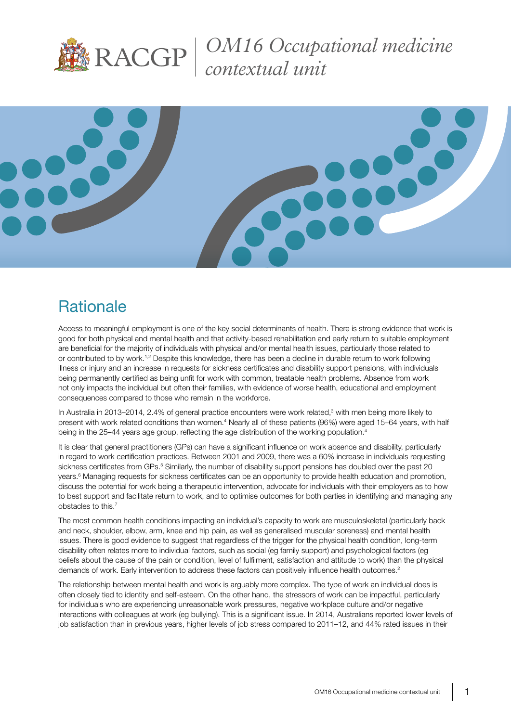

*OM16 Occupational medicine contextual unit*



# **Rationale**

Access to meaningful employment is one of the key social determinants of health. There is strong evidence that work is good for both physical and mental health and that activity-based rehabilitation and early return to suitable employment are beneficial for the majority of individuals with physical and/or mental health issues, particularly those related to or contributed to by work.1,2 Despite this knowledge, there has been a decline in durable return to work following illness or injury and an increase in requests for sickness certificates and disability support pensions, with individuals being permanently certified as being unfit for work with common, treatable health problems. Absence from work not only impacts the individual but often their families, with evidence of worse health, educational and employment consequences compared to those who remain in the workforce.

In Australia in 2013–2014, 2.4% of general practice encounters were work related,<sup>3</sup> with men being more likely to present with work related conditions than women.<sup>4</sup> Nearly all of these patients (96%) were aged 15–64 years, with half being in the 25–44 years age group, reflecting the age distribution of the working population.<sup>4</sup>

It is clear that general practitioners (GPs) can have a significant influence on work absence and disability, particularly in regard to work certification practices. Between 2001 and 2009, there was a 60% increase in individuals requesting sickness certificates from GPs.<sup>5</sup> Similarly, the number of disability support pensions has doubled over the past 20 years.<sup>6</sup> Managing requests for sickness certificates can be an opportunity to provide health education and promotion, discuss the potential for work being a therapeutic intervention, advocate for individuals with their employers as to how to best support and facilitate return to work, and to optimise outcomes for both parties in identifying and managing any obstacles to this.7

The most common health conditions impacting an individual's capacity to work are musculoskeletal (particularly back and neck, shoulder, elbow, arm, knee and hip pain, as well as generalised muscular soreness) and mental health issues. There is good evidence to suggest that regardless of the trigger for the physical health condition, long-term disability often relates more to individual factors, such as social (eg family support) and psychological factors (eg beliefs about the cause of the pain or condition, level of fulfilment, satisfaction and attitude to work) than the physical demands of work. Early intervention to address these factors can positively influence health outcomes.<sup>2</sup>

The relationship between mental health and work is arguably more complex. The type of work an individual does is often closely tied to identity and self-esteem. On the other hand, the stressors of work can be impactful, particularly for individuals who are experiencing unreasonable work pressures, negative workplace culture and/or negative interactions with colleagues at work (eg bullying). This is a significant issue. In 2014, Australians reported lower levels of job satisfaction than in previous years, higher levels of job stress compared to 2011–12, and 44% rated issues in their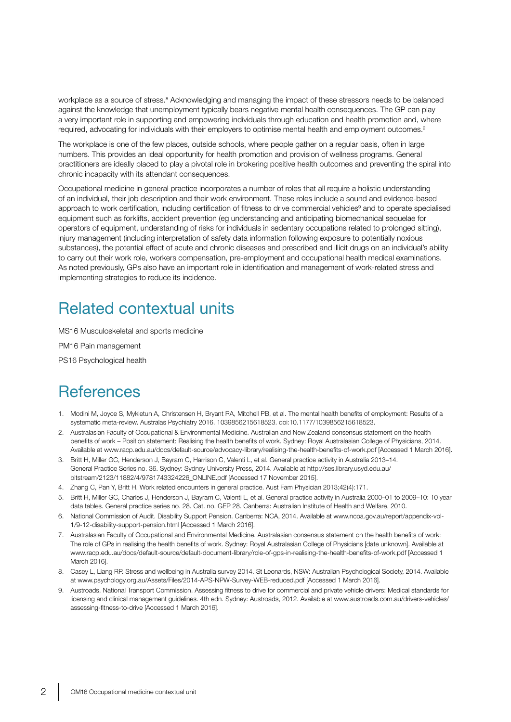workplace as a source of stress.<sup>8</sup> Acknowledging and managing the impact of these stressors needs to be balanced against the knowledge that unemployment typically bears negative mental health consequences. The GP can play a very important role in supporting and empowering individuals through education and health promotion and, where required, advocating for individuals with their employers to optimise mental health and employment outcomes.<sup>2</sup>

The workplace is one of the few places, outside schools, where people gather on a regular basis, often in large numbers. This provides an ideal opportunity for health promotion and provision of wellness programs. General practitioners are ideally placed to play a pivotal role in brokering positive health outcomes and preventing the spiral into chronic incapacity with its attendant consequences.

Occupational medicine in general practice incorporates a number of roles that all require a holistic understanding of an individual, their job description and their work environment. These roles include a sound and evidence-based approach to work certification, including certification of fitness to drive commercial vehicles<sup>9</sup> and to operate specialised equipment such as forklifts, accident prevention (eg understanding and anticipating biomechanical sequelae for operators of equipment, understanding of risks for individuals in sedentary occupations related to prolonged sitting), injury management (including interpretation of safety data information following exposure to potentially noxious substances), the potential effect of acute and chronic diseases and prescribed and illicit drugs on an individual's ability to carry out their work role, workers compensation, pre-employment and occupational health medical examinations. As noted previously, GPs also have an important role in identification and management of work-related stress and implementing strategies to reduce its incidence.

### Related contextual units

MS16 Musculoskeletal and sports medicine

PM16 Pain management

PS16 Psychological health

### **References**

- 1. Modini M, Joyce S, Mykletun A, Christensen H, Bryant RA, Mitchell PB, et al. The mental health benefits of employment: Results of a systematic meta-review. Australas Psychiatry 2016. 1039856215618523. doi:10.1177/1039856215618523.
- 2. Australasian Faculty of Occupational & Environmental Medicine. Australian and New Zealand consensus statement on the health benefits of work – Position statement: Realising the health benefits of work. Sydney: Royal Australasian College of Physicians, 2014. Available at www.racp.edu.au/docs/default-source/advocacy-library/realising-the-health-benefits-of-work.pdf [Accessed 1 March 2016].
- 3. Britt H, Miller GC, Henderson J, Bayram C, Harrison C, Valenti L, et al. General practice activity in Australia 2013–14. General Practice Series no. 36. Sydney: Sydney University Press, 2014. Available at http://ses.library.usyd.edu.au/ bitstream/2123/11882/4/9781743324226\_ONLINE.pdf [Accessed 17 November 2015].
- 4. Zhang C, Pan Y, Britt H. Work related encounters in general practice. Aust Fam Physician 2013;42(4):171.
- 5. Britt H, Miller GC, Charles J, Henderson J, Bayram C, Valenti L, et al. General practice activity in Australia 2000–01 to 2009–10: 10 year data tables. General practice series no. 28. Cat. no. GEP 28. Canberra: Australian Institute of Health and Welfare, 2010.
- 6. National Commission of Audit. Disability Support Pension. Canberra: NCA, 2014. Available at www.ncoa.gov.au/report/appendix-vol-1/9-12-disability-support-pension.html [Accessed 1 March 2016].
- 7. Australasian Faculty of Occupational and Environmental Medicine. Australasian consensus statement on the health benefits of work: The role of GPs in realising the health benefits of work. Sydney: Royal Australasian College of Physicians [date unknown]. Available at www.racp.edu.au/docs/default-source/default-document-library/role-of-gps-in-realising-the-health-benefits-of-work.pdf [Accessed 1 March 2016].
- 8. Casey L, Liang RP. Stress and wellbeing in Australia survey 2014. St Leonards, NSW: Australian Psychological Society, 2014. Available at www.psychology.org.au/Assets/Files/2014-APS-NPW-Survey-WEB-reduced.pdf [Accessed 1 March 2016].
- 9. Austroads, National Transport Commission. Assessing fitness to drive for commercial and private vehicle drivers: Medical standards for licensing and clinical management guidelines. 4th edn. Sydney: Austroads, 2012. Available at www.austroads.com.au/drivers-vehicles/ assessing-fitness-to-drive [Accessed 1 March 2016].